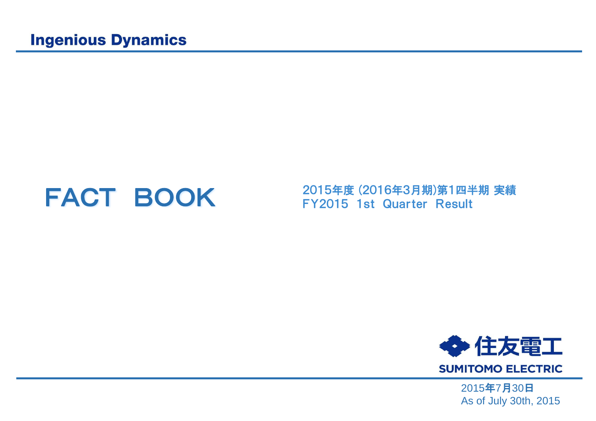**FACT BOOK** 2015年度 (2016年3月期)第1四半期 実績<br>
FY2015 1st Quarter Result



2015年7月30日 As of July 30th, 2015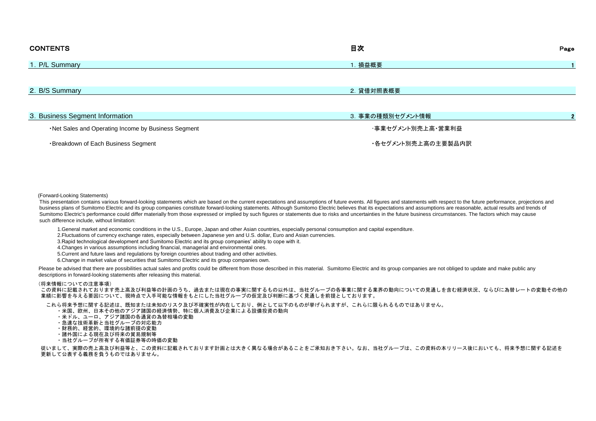| <b>CONTENTS</b>                                      | 目次                 | Page |
|------------------------------------------------------|--------------------|------|
| 1. P/L Summary                                       | .損益概要              |      |
|                                                      |                    |      |
| 2. B/S Summary                                       | 2. 貸借対照表概要         |      |
|                                                      |                    |      |
| 3. Business Segment Information                      | 3. 事業の種類別セグメント情報   |      |
| . Net Sales and Operating Income by Business Segment | ・事業セグメント別売上高・営業利益  |      |
| <b>Breakdown of Each Business Segment</b>            | ・各セグメント別売上高の主要製品内訳 |      |

(Forward-Looking Statements)

This presentation contains various forward-looking statements which are based on the current expectations and assumptions of future events. All figures and statements with respect to the future performance, projections and business plans of Sumitomo Electric and its group companies constitute forward-looking statements. Although Sumitomo Electric believes that its expectations and assumptions are reasonable, actual results and trends of Sumitomo Electric's performance could differ materially from those expressed or implied by such figures or statements due to risks and uncertainties in the future business circumstances. The factors which may cause such difference include, without limitation:

1.General market and economic conditions in the U.S., Europe, Japan and other Asian countries, especially personal consumption and capital expenditure.

2.Fluctuations of currency exchange rates, especially between Japanese yen and U.S. dollar, Euro and Asian currencies.

3.Rapid technological development and Sumitomo Electric and its group companies' ability to cope with it.

4.Changes in various assumptions including financial, managerial and environmental ones.

5.Current and future laws and regulations by foreign countries about trading and other activities.

6.Change in market value of securities that Sumitomo Electric and its group companies own.

Please be advised that there are possibilities actual sales and profits could be different from those described in this material. Sumitomo Electric and its group companies are not obliged to update and make public any descriptions in forward-looking statements after releasing this material.

#### (将来情報についての注意事項)

この資料に記載されております売上高及び利益等の計画のうち、過去または現在の事実に関するもの以外は、当社グループの各事業に関する業界の動向についての見通しを含む経済状況、ならびに為替レートの変動その他の 業績に影響を与える要因について、現時点で入手可能な情報をもとにした当社グループの仮定及び判断に基づく見通しを前提としております。

これら将来予想に関する記述は、既知または未知のリスク及び不確実性が内在しており、例として以下のものが挙げられますが、これらに限られるものではありません。

- ・米国、欧州、日本その他のアジア諸国の経済情勢、特に個人消費及び企業による設備投資の動向
- ・米ドル、ユーロ、アジア諸国の各通貨の為替相場の変動
- ・急速な技術革新と当社グループの対応能力
- ・財務的、経営的、環境的な諸前提の変動
- ・諸外国による現在及び将来の貿易規制等
- ・当社グループが所有する有価証券等の時価の変動

 従いまして、実際の売上高及び利益等と、この資料に記載されております計画とは大きく異なる場合があることをご承知おき下さい。なお、当社グループは、この資料の本リリース後においても、将来予想に関する記述を 更新して公表する義務を負うものではありません。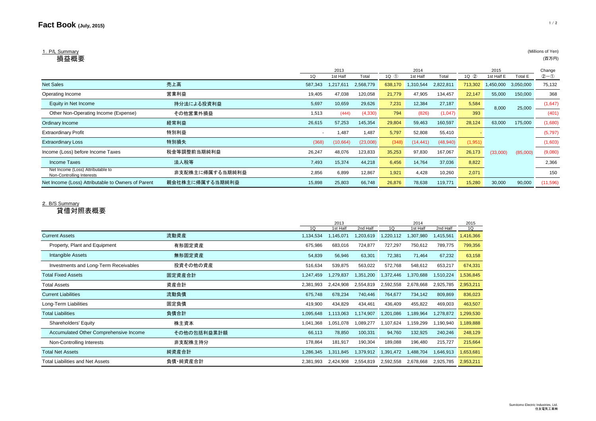# 1. P/L Summary **the contract of the contract of the contract of the contract of the contract of Yen**) (Millions of Yen)

|                                                                |                 |         | 2013           |           | 2014       |           |           | 2015    |            |           | Change   |
|----------------------------------------------------------------|-----------------|---------|----------------|-----------|------------|-----------|-----------|---------|------------|-----------|----------|
|                                                                |                 |         | 1st Half       | Total     | $1Q \n(1)$ | 1st Half  | Total     | 1Q(2)   | 1st Half E | Total E   | $2-0$    |
| <b>Net Sales</b>                                               | 売上高             | 587,343 | 1,217<br>7.611 | 2,568,779 | 638,170    | 310,544   | 2,822,811 | 713,302 | ,450,000   | 3,050,000 | 75,132   |
| Operating Income                                               | 営業利益            | 19,405  | 47,038         | 120,058   | 21,779     | 47,905    | 134,457   | 22,147  | 55,000     | 150,000   | 368      |
| Equity in Net Income                                           | 持分法による投資利益      | 5,697   | 10,659         | 29,626    | 7,231      | 12,384    | 27,187    | 5,584   | 8,000      | 25,000    | (1,647)  |
| Other Non-Operating Income (Expense)                           | その他営業外損益        | 1,513   | (444)          | (4,330)   | 794        | (826)     | (1,047)   | 393     |            |           | (401)    |
| Ordinary Income                                                | 経常利益            | 26,615  | 57,253         | 145,354   | 29,804     | 59,463    | 160,597   | 28,124  | 63,000     | 175,000   | (1,680)  |
| <b>Extraordinary Profit</b>                                    | 特別利益            |         | 1,487          | 1.487     | 5,797      | 52,808    | 55,410    |         |            |           | (5,797)  |
| <b>Extraordinary Loss</b>                                      | 特別損失            | (368)   | (10, 664)      | (23,008)  | (348)      | (14, 441) | (48, 940) | (1,951) |            |           | (1,603)  |
| Income (Loss) before Income Taxes                              | 税金等調整前当期純利益     | 26,247  | 48,076         | 123,833   | 35,253     | 97,830    | 167,067   | 26,173  | (33,000)   | (85,000)  | (9,080)  |
| Income Taxes                                                   | 法人税等            | 7,493   | 15,374         | 44,218    | 6,456      | 14,764    | 37,036    | 8,822   |            |           | 2,366    |
| Net Income (Loss) Attributable to<br>Non-Controlling Interests | 非支配株主に帰属する当期純利益 | 2,856   | 6,899          | 12,867    | 1,921      | 4,428     | 10,260    | 2,071   |            |           | 150      |
| Net Income (Loss) Attributable to Owners of Parent             | 親会社株主に帰属する当期純利益 | 15,898  | 25,803         | 66,748    | 26,876     | 78,638    | 119,771   | 15,280  | 30,000     | 90,000    | (11,596) |

### 2.B/S Summary

貸借対照表概要

|                                        |             |           | 2013      |           |           | 2014      |           | 2015      |
|----------------------------------------|-------------|-----------|-----------|-----------|-----------|-----------|-----------|-----------|
|                                        |             | 1Q        | 1st Half  | 2nd Half  | 1Q        | 1st Half  | 2nd Half  | 1Q        |
| <b>Current Assets</b>                  | 流動資産        | 1,134,534 | 1,145,071 | 1,203,619 | 1,220,112 | 1,307,980 | 1,415,561 | 1,416,366 |
| Property, Plant and Equipment          | 有形固定資産      | 675,986   | 683,016   | 724,877   | 727,297   | 750,612   | 789,775   | 799,356   |
| Intangible Assets                      | 無形固定資産      | 54,839    | 56,946    | 63,301    | 72,381    | 71,464    | 67,232    | 63,158    |
| Investments and Long-Term Receivables  | 投資その他の資産    | 516,634   | 539,875   | 563,022   | 572,768   | 548,612   | 653,217   | 674,331   |
| <b>Total Fixed Assets</b>              | 固定資産合計      | 1,247,459 | 1,279,837 | 1,351,200 | 1,372,446 | 1,370,688 | 1,510,224 | 1,536,845 |
| <b>Total Assets</b>                    | 資産合計        | 2,381,993 | 2,424,908 | 2,554,819 | 2,592,558 | 2,678,668 | 2,925,785 | 2,953,211 |
| <b>Current Liabilities</b>             | 流動負債        | 675,748   | 678,234   | 740,446   | 764,677   | 734,142   | 809,869   | 836,023   |
| Long-Term Liabilities                  | 固定負債        | 419,900   | 434,829   | 434,461   | 436,409   | 455,822   | 469,003   | 463,507   |
| <b>Total Liabilities</b>               | 負債合計        | 1,095,648 | 1,113,063 | 1,174,907 | 1,201,086 | 1,189,964 | 1,278,872 | 1,299,530 |
| <b>Shareholders' Equity</b>            | 株主資本        | 1,041,368 | 1,051,078 | 1,089,277 | 1,107,624 | 1,159,299 | 1,190,940 | 1,189,888 |
| Accumulated Other Comprehensive Income | その他の包括利益累計額 | 66,113    | 78,850    | 100,331   | 94,760    | 132,925   | 240,246   | 248,129   |
| Non-Controlling Interests              | 非支配株主持分     | 178,864   | 181,917   | 190,304   | 189,088   | 196,480   | 215,727   | 215,664   |
| <b>Total Net Assets</b>                | 純資産合計       | 1,286,345 | 1,311,845 | 1,379,912 | 1,391,472 | 1,488,704 | 1,646,913 | 1,653,681 |
| Total Liabilities and Net Assets       | 負債·純資産合計    | 2,381,993 | 2,424,908 | 2,554,819 | 2,592,558 | 2,678,668 | 2,925,785 | 2,953,211 |